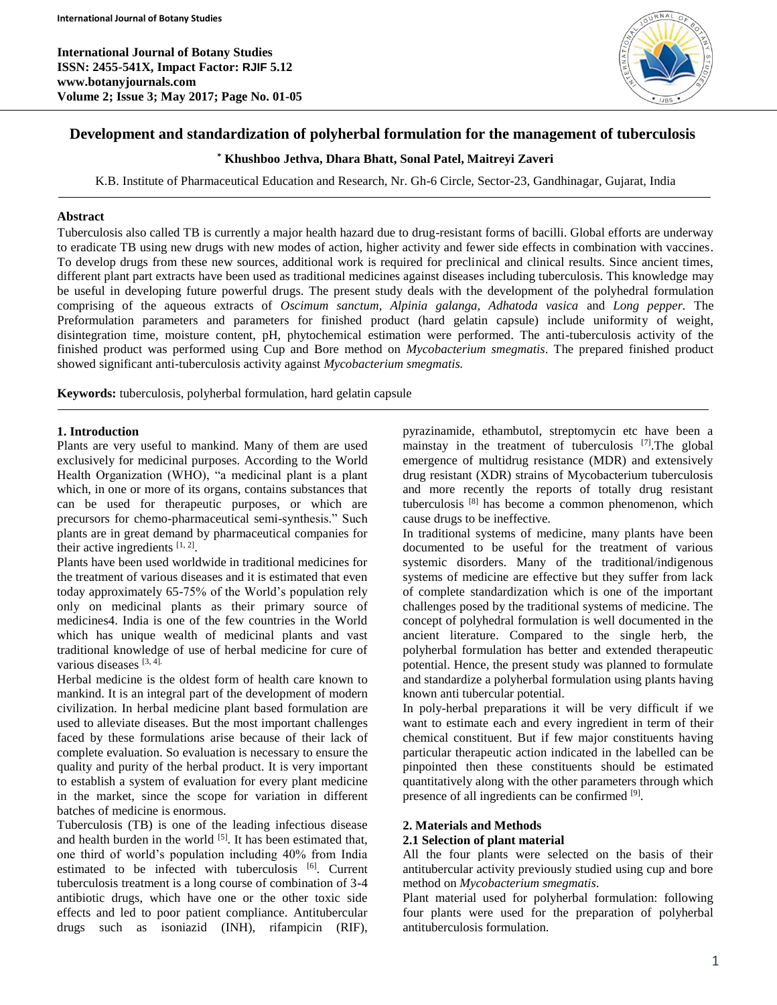**International Journal of Botany Studies ISSN: 2455-541X, Impact Factor: RJIF 5.12 www.botanyjournals.com Volume 2; Issue 3; May 2017; Page No. 01-05**



## **Development and standardization of polyherbal formulation for the management of tuberculosis**

## **\* Khushboo Jethva, Dhara Bhatt, Sonal Patel, Maitreyi Zaveri**

K.B. Institute of Pharmaceutical Education and Research, Nr. Gh-6 Circle, Sector-23, Gandhinagar, Gujarat, India

### **Abstract**

Tuberculosis also called TB is currently a major health hazard due to drug-resistant forms of bacilli. Global efforts are underway to eradicate TB using new drugs with new modes of action, higher activity and fewer side effects in combination with vaccines. To develop drugs from these new sources, additional work is required for preclinical and clinical results. Since ancient times, different plant part extracts have been used as traditional medicines against diseases including tuberculosis. This knowledge may be useful in developing future powerful drugs. The present study deals with the development of the polyhedral formulation comprising of the aqueous extracts of *Oscimum sanctum, Alpinia galanga, Adhatoda vasica* and *Long pepper.* The Preformulation parameters and parameters for finished product (hard gelatin capsule) include uniformity of weight, disintegration time, moisture content, pH, phytochemical estimation were performed. The anti-tuberculosis activity of the finished product was performed using Cup and Bore method on *Mycobacterium smegmatis*. The prepared finished product showed significant anti-tuberculosis activity against *Mycobacterium smegmatis.*

**Keywords:** tuberculosis, polyherbal formulation, hard gelatin capsule

### **1. Introduction**

Plants are very useful to mankind. Many of them are used exclusively for medicinal purposes. According to the World Health Organization (WHO), "a medicinal plant is a plant which, in one or more of its organs, contains substances that can be used for therapeutic purposes, or which are precursors for chemo-pharmaceutical semi-synthesis." Such plants are in great demand by pharmaceutical companies for their active ingredients  $[1, 2]$ .

Plants have been used worldwide in traditional medicines for the treatment of various diseases and it is estimated that even today approximately 65-75% of the World's population rely only on medicinal plants as their primary source of medicines4. India is one of the few countries in the World which has unique wealth of medicinal plants and vast traditional knowledge of use of herbal medicine for cure of various diseases  $[3, 4]$ .

Herbal medicine is the oldest form of health care known to mankind. It is an integral part of the development of modern civilization. In herbal medicine plant based formulation are used to alleviate diseases. But the most important challenges faced by these formulations arise because of their lack of complete evaluation. So evaluation is necessary to ensure the quality and purity of the herbal product. It is very important to establish a system of evaluation for every plant medicine in the market, since the scope for variation in different batches of medicine is enormous.

Tuberculosis (TB) is one of the leading infectious disease and health burden in the world  $[5]$ . It has been estimated that, one third of world's population including 40% from India estimated to be infected with tuberculosis [6]. Current tuberculosis treatment is a long course of combination of 3-4 antibiotic drugs, which have one or the other toxic side effects and led to poor patient compliance. Antitubercular drugs such as isoniazid (INH), rifampicin (RIF), pyrazinamide, ethambutol, streptomycin etc have been a mainstay in the treatment of tuberculosis [7].The global emergence of multidrug resistance (MDR) and extensively drug resistant (XDR) strains of Mycobacterium tuberculosis and more recently the reports of totally drug resistant tuberculosis [8] has become a common phenomenon, which cause drugs to be ineffective.

In traditional systems of medicine, many plants have been documented to be useful for the treatment of various systemic disorders. Many of the traditional/indigenous systems of medicine are effective but they suffer from lack of complete standardization which is one of the important challenges posed by the traditional systems of medicine. The concept of polyhedral formulation is well documented in the ancient literature. Compared to the single herb, the polyherbal formulation has better and extended therapeutic potential. Hence, the present study was planned to formulate and standardize a polyherbal formulation using plants having known anti tubercular potential.

In poly-herbal preparations it will be very difficult if we want to estimate each and every ingredient in term of their chemical constituent. But if few major constituents having particular therapeutic action indicated in the labelled can be pinpointed then these constituents should be estimated quantitatively along with the other parameters through which presence of all ingredients can be confirmed <sup>[9]</sup>.

### **2. Materials and Methods**

### **2.1 Selection of plant material**

All the four plants were selected on the basis of their antitubercular activity previously studied using cup and bore method on *Mycobacterium smegmatis*.

Plant material used for polyherbal formulation: following four plants were used for the preparation of polyherbal antituberculosis formulation.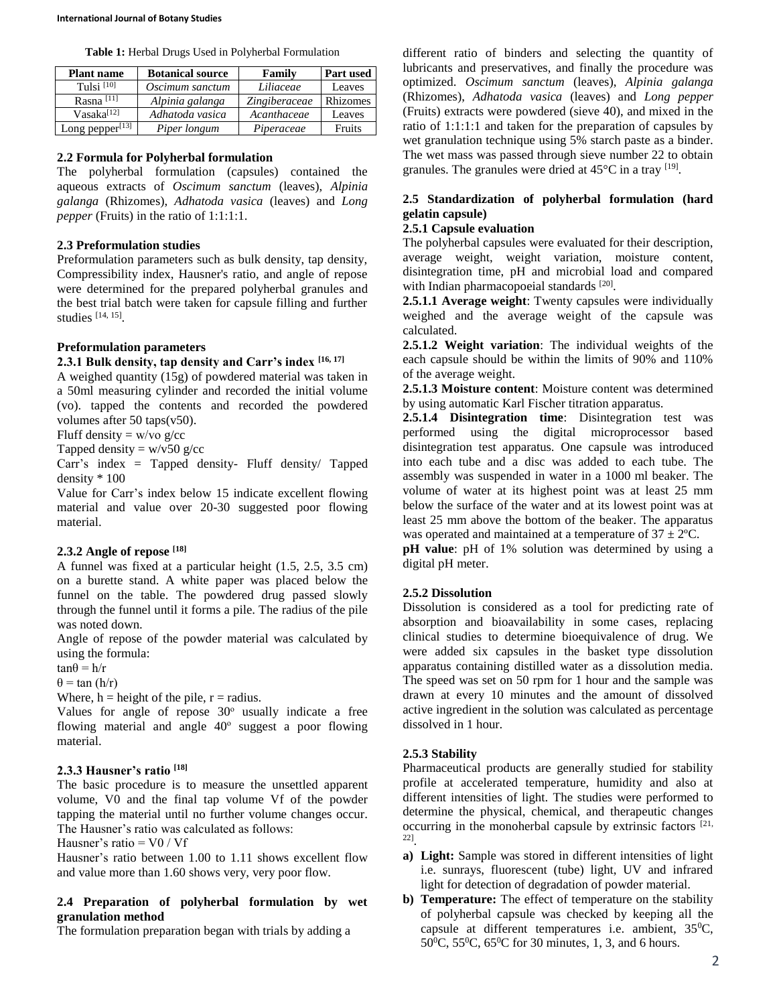**Table 1:** Herbal Drugs Used in Polyherbal Formulation

| <b>Plant name</b>   | <b>Botanical source</b> | Family        | <b>Part used</b> |
|---------------------|-------------------------|---------------|------------------|
| Tulsi $[10]$        | Oscimum sanctum         | Liliaceae     | Leaves           |
| Rasna $[11]$        | Alpinia galanga         | Zingiberaceae | Rhizomes         |
| $V$ asaka $^{[12]}$ | Adhatoda vasica         | Acanthaceae   | Leaves           |
| Long pepper $[13]$  | Piper longum            | Piperaceae    | Fruits           |

# **2.2 Formula for Polyherbal formulation**

The polyherbal formulation (capsules) contained the aqueous extracts of *Oscimum sanctum* (leaves), *Alpinia galanga* (Rhizomes), *Adhatoda vasica* (leaves) and *Long pepper* (Fruits) in the ratio of 1:1:1:1.

# **2.3 Preformulation studies**

Preformulation parameters such as bulk density, tap density, Compressibility index, Hausner's ratio, and angle of repose were determined for the prepared polyherbal granules and the best trial batch were taken for capsule filling and further studies [14, 15] .

# **Preformulation parameters**

# **2.3.1 Bulk density, tap density and Carr's index [16, 17]**

A weighed quantity (15g) of powdered material was taken in a 50ml measuring cylinder and recorded the initial volume (vo). tapped the contents and recorded the powdered volumes after 50 taps(v50).

Fluff density =  $w/vo$  g/cc

Tapped density =  $w/v50$  g/cc

Carr's index = Tapped density- Fluff density/ Tapped density \* 100

Value for Carr's index below 15 indicate excellent flowing material and value over 20-30 suggested poor flowing material.

# **2.3.2 Angle of repose [18]**

A funnel was fixed at a particular height (1.5, 2.5, 3.5 cm) on a burette stand. A white paper was placed below the funnel on the table. The powdered drug passed slowly through the funnel until it forms a pile. The radius of the pile was noted down.

Angle of repose of the powder material was calculated by using the formula:

 $tan\theta = h/r$ 

 $\theta$  = tan (h/r)

Where,  $h =$  height of the pile,  $r =$  radius.

Values for angle of repose 30<sup>o</sup> usually indicate a free flowing material and angle 40° suggest a poor flowing material.

# **2.3.3 Hausner's ratio [18]**

The basic procedure is to measure the unsettled apparent volume, V0 and the final tap volume Vf of the powder tapping the material until no further volume changes occur. The Hausner's ratio was calculated as follows:

Hausner's ratio  $=$  V0 / Vf

Hausner's ratio between 1.00 to 1.11 shows excellent flow and value more than 1.60 shows very, very poor flow.

# **2.4 Preparation of polyherbal formulation by wet granulation method**

The formulation preparation began with trials by adding a

different ratio of binders and selecting the quantity of lubricants and preservatives, and finally the procedure was optimized. *Oscimum sanctum* (leaves), *Alpinia galanga* (Rhizomes), *Adhatoda vasica* (leaves) and *Long pepper* (Fruits) extracts were powdered (sieve 40), and mixed in the ratio of 1:1:1:1 and taken for the preparation of capsules by wet granulation technique using 5% starch paste as a binder. The wet mass was passed through sieve number 22 to obtain granules. The granules were dried at  $45^{\circ}$ C in a tray  $^{[19]}$ .

# **2.5 Standardization of polyherbal formulation (hard gelatin capsule)**

## **2.5.1 Capsule evaluation**

The polyherbal capsules were evaluated for their description, average weight, weight variation, moisture content, disintegration time, pH and microbial load and compared with Indian pharmacopoeial standards [20].

**2.5.1.1 Average weight**: Twenty capsules were individually weighed and the average weight of the capsule was calculated.

**2.5.1.2 Weight variation**: The individual weights of the each capsule should be within the limits of 90% and 110% of the average weight.

**2.5.1.3 Moisture content**: Moisture content was determined by using automatic Karl Fischer titration apparatus.

**2.5.1.4 Disintegration time**: Disintegration test was performed using the digital microprocessor based disintegration test apparatus. One capsule was introduced into each tube and a disc was added to each tube. The assembly was suspended in water in a 1000 ml beaker. The volume of water at its highest point was at least 25 mm below the surface of the water and at its lowest point was at least 25 mm above the bottom of the beaker. The apparatus was operated and maintained at a temperature of  $37 \pm 2$ °C.

**pH** value: pH of 1% solution was determined by using a digital pH meter.

# **2.5.2 Dissolution**

Dissolution is considered as a tool for predicting rate of absorption and bioavailability in some cases, replacing clinical studies to determine bioequivalence of drug. We were added six capsules in the basket type dissolution apparatus containing distilled water as a dissolution media. The speed was set on 50 rpm for 1 hour and the sample was drawn at every 10 minutes and the amount of dissolved active ingredient in the solution was calculated as percentage dissolved in 1 hour.

# **2.5.3 Stability**

Pharmaceutical products are generally studied for stability profile at accelerated temperature, humidity and also at different intensities of light. The studies were performed to determine the physical, chemical, and therapeutic changes occurring in the monoherbal capsule by extrinsic factors  $[21, 2]$ 22] .

- **a) Light:** Sample was stored in different intensities of light i.e. sunrays, fluorescent (tube) light, UV and infrared light for detection of degradation of powder material.
- **b) Temperature:** The effect of temperature on the stability of polyherbal capsule was checked by keeping all the capsule at different temperatures i.e. ambient,  $35^{\circ}$ C, 50<sup>o</sup>C, 55<sup>o</sup>C, 65<sup>o</sup>C for 30 minutes, 1, 3, and 6 hours.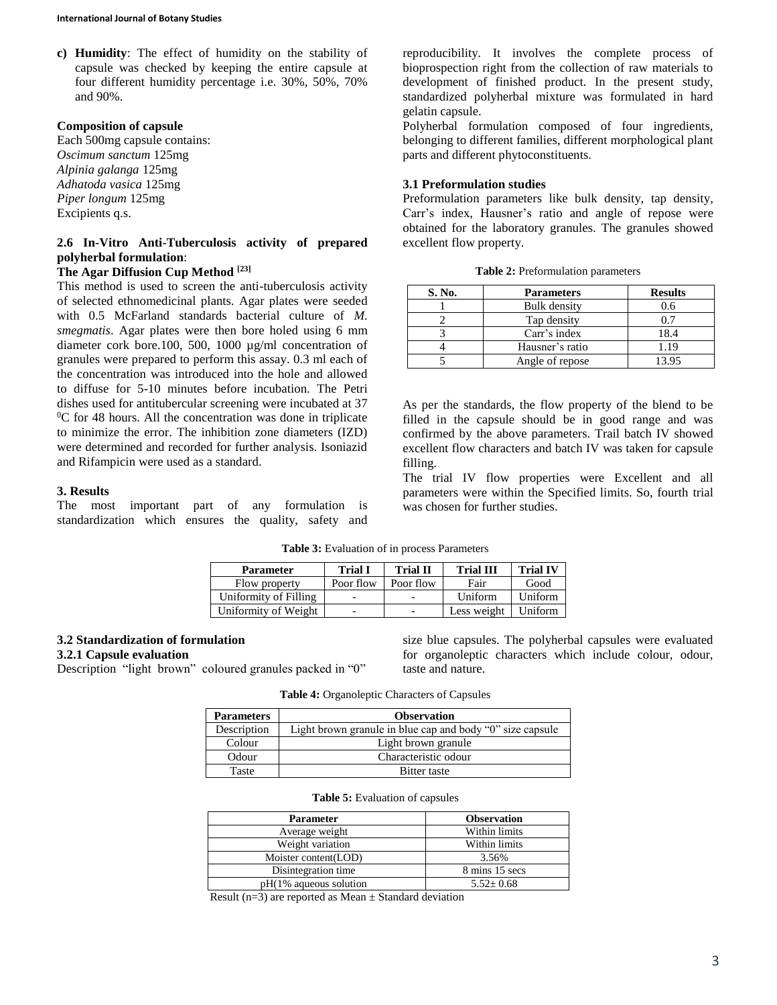**c) Humidity**: The effect of humidity on the stability of capsule was checked by keeping the entire capsule at four different humidity percentage i.e. 30%, 50%, 70% and 90%.

### **Composition of capsule**

Each 500mg capsule contains: *Oscimum sanctum* 125mg *Alpinia galanga* 125mg *Adhatoda vasica* 125mg *Piper longum* 125mg Excipients q.s.

## **2.6 In-Vitro Anti-Tuberculosis activity of prepared polyherbal formulation**:

## **The Agar Diffusion Cup Method [23]**

This method is used to screen the anti-tuberculosis activity of selected ethnomedicinal plants. Agar plates were seeded with 0.5 McFarland standards bacterial culture of *M. smegmatis*. Agar plates were then bore holed using 6 mm diameter cork bore.100, 500, 1000 µg/ml concentration of granules were prepared to perform this assay. 0.3 ml each of the concentration was introduced into the hole and allowed to diffuse for 5-10 minutes before incubation. The Petri dishes used for antitubercular screening were incubated at 37  $\rm{^{0}C}$  for 48 hours. All the concentration was done in triplicate to minimize the error. The inhibition zone diameters (IZD) were determined and recorded for further analysis. Isoniazid and Rifampicin were used as a standard.

### **3. Results**

The most important part of any formulation is standardization which ensures the quality, safety and reproducibility. It involves the complete process of bioprospection right from the collection of raw materials to development of finished product. In the present study, standardized polyherbal mixture was formulated in hard gelatin capsule.

Polyherbal formulation composed of four ingredients, belonging to different families, different morphological plant parts and different phytoconstituents.

## **3.1 Preformulation studies**

Preformulation parameters like bulk density, tap density, Carr's index, Hausner's ratio and angle of repose were obtained for the laboratory granules. The granules showed excellent flow property.

|  | Table 2: Preformulation parameters |  |
|--|------------------------------------|--|
|--|------------------------------------|--|

| S. No. | <b>Parameters</b> | <b>Results</b> |
|--------|-------------------|----------------|
|        | Bulk density      | 0.6            |
|        | Tap density       | 07             |
|        | Carr's index      | 18.4           |
|        | Hausner's ratio   | 1.19           |
|        | Angle of repose   | 13.95          |

As per the standards, the flow property of the blend to be filled in the capsule should be in good range and was confirmed by the above parameters. Trail batch IV showed excellent flow characters and batch IV was taken for capsule filling.

The trial IV flow properties were Excellent and all parameters were within the Specified limits. So, fourth trial was chosen for further studies.

| <b>Parameter</b>      | <b>Trial I</b> | <b>Trial II</b> | <b>Trial III</b> | <b>Trial IV</b> |
|-----------------------|----------------|-----------------|------------------|-----------------|
| Flow property         | Poor flow      | Poor flow       | Fair             | Good            |
| Uniformity of Filling |                |                 | Uniform          | Uniform         |
| Uniformity of Weight  |                |                 | Less weight      | Uniform         |

**Table 3:** Evaluation of in process Parameters

### **3.2 Standardization of formulation**

**3.2.1 Capsule evaluation**

Description "light brown" coloured granules packed in "0"

size blue capsules. The polyherbal capsules were evaluated for organoleptic characters which include colour, odour, taste and nature.

**Table 4:** Organoleptic Characters of Capsules

| <b>Parameters</b> | <b>Observation</b>                                        |
|-------------------|-----------------------------------------------------------|
| Description       | Light brown granule in blue cap and body "0" size capsule |
| Colour            | Light brown granule                                       |
| Odour             | Characteristic odour                                      |
| Taste             | <b>Bitter</b> taste                                       |

#### **Table 5:** Evaluation of capsules

| <b>Parameter</b>          | <b>Observation</b> |
|---------------------------|--------------------|
| Average weight            | Within limits      |
| Weight variation          | Within limits      |
| Moister content(LOD)      | 3.56%              |
| Disintegration time       | 8 mins 15 secs     |
| $pH(1\%$ aqueous solution | $5.52 \pm 0.68$    |

Result (n=3) are reported as Mean  $\pm$  Standard deviation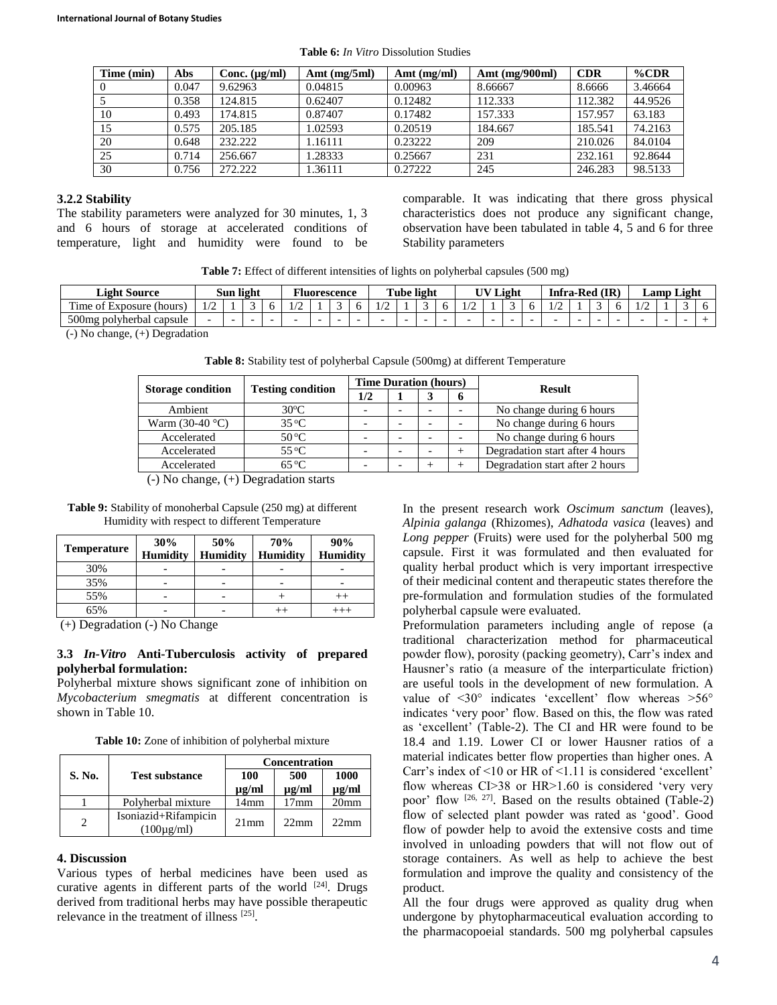| Time (min) | Abs   | Conc. $(\mu g/ml)$ | Amt $(mg/5ml)$ | Amt $(mg/ml)$ | Amt $(mg/900ml)$ | <b>CDR</b> | $\%$ CDR |
|------------|-------|--------------------|----------------|---------------|------------------|------------|----------|
|            | 0.047 | 9.62963            | 0.04815        | 0.00963       | 8.66667          | 8.6666     | 3.46664  |
|            | 0.358 | 124.815            | 0.62407        | 0.12482       | 112.333          | 112.382    | 44.9526  |
| 10         | 0.493 | 174.815            | 0.87407        | 0.17482       | 157.333          | 157.957    | 63.183   |
| 15         | 0.575 | 205.185            | 1.02593        | 0.20519       | 184.667          | 185.541    | 74.2163  |
| 20         | 0.648 | 232.222            | 1.16111        | 0.23222       | 209              | 210.026    | 84.0104  |
| 25         | 0.714 | 256.667            | 1.28333        | 0.25667       | 231              | 232.161    | 92.8644  |
| 30         | 0.756 | 272.222            | 1.36111        | 0.27222       | 245              | 246.283    | 98.5133  |

**Table 6:** *In Vitro* Dissolution Studies

#### **3.2.2 Stability**

The stability parameters were analyzed for 30 minutes, 1, 3 and 6 hours of storage at accelerated conditions of temperature, light and humidity were found to be

comparable. It was indicating that there gross physical characteristics does not produce any significant change, observation have been tabulated in table 4, 5 and 6 for three Stability parameters

| Table 7: Effect of different intensities of lights on polyherbal capsules (500 mg) |  |  |  |  |
|------------------------------------------------------------------------------------|--|--|--|--|
|------------------------------------------------------------------------------------|--|--|--|--|

| Light Source                           |                               | Sun light | . | $\mathbf{r}$ | Fluorescence |                 | l'ube light |  |  | $\overline{\phantom{a}}$ V Light |   | <b>Infra-Red</b>                            | (IR |   |                 | <b>Lamp Light</b> |  |
|----------------------------------------|-------------------------------|-----------|---|--------------|--------------|-----------------|-------------|--|--|----------------------------------|---|---------------------------------------------|-----|---|-----------------|-------------------|--|
| $\sim$<br>(hours<br>Exposure<br>ime of | $\sqrt{2}$<br>$\overline{11}$ |           |   |              |              | $\overline{11}$ |             |  |  |                                  |   | $\overline{\phantom{a}}$<br>$\overline{11}$ |     | ◡ | $\overline{11}$ |                   |  |
| $500$ mg<br>· polyherbal<br>capsule    |                               |           |   |              |              | -               |             |  |  |                                  | - |                                             |     | - |                 |                   |  |
| $\sqrt{2}$<br>$\cdots$                 |                               |           |   |              |              |                 |             |  |  |                                  |   |                                             |     |   |                 |                   |  |

(-) No change, (+) Degradation

**Table 8:** Stability test of polyherbal Capsule (500mg) at different Temperature

| <b>Storage condition</b> | <b>Testing condition</b> | <b>Time Duration (hours)</b> |  |   | <b>Result</b>                   |  |  |
|--------------------------|--------------------------|------------------------------|--|---|---------------------------------|--|--|
|                          |                          | 1/2                          |  | o |                                 |  |  |
| Ambient                  | $30^{\circ}$ C           |                              |  |   | No change during 6 hours        |  |  |
| Warm $(30-40$ °C)        | $35^{\circ}$ C           |                              |  |   | No change during 6 hours        |  |  |
| Accelerated              | $50^{\circ}$ C           |                              |  |   | No change during 6 hours        |  |  |
| Accelerated              | $55^{\circ}$ C           |                              |  |   | Degradation start after 4 hours |  |  |
| Accelerated              | $65^{\circ}$ C           |                              |  |   | Degradation start after 2 hours |  |  |

(-) No change, (+) Degradation starts

**Table 9:** Stability of monoherbal Capsule (250 mg) at different Humidity with respect to different Temperature

| <b>Temperature</b> | 30%             | 50%             | <b>70%</b>      | 90%             |
|--------------------|-----------------|-----------------|-----------------|-----------------|
|                    | <b>Humidity</b> | <b>Humidity</b> | <b>Humidity</b> | <b>Humidity</b> |
| 30%                |                 |                 |                 |                 |
| 35%                |                 |                 |                 |                 |
| 55%                |                 |                 |                 |                 |
| 65%                |                 |                 |                 |                 |

(+) Degradation (-) No Change

### **3.3** *In-Vitro* **Anti-Tuberculosis activity of prepared polyherbal formulation:**

Polyherbal mixture shows significant zone of inhibition on *Mycobacterium smegmatis* at different concentration is shown in Table 10.

**Table 10:** Zone of inhibition of polyherbal mixture

|               |                                               |            | <b>Concentration</b> |                  |
|---------------|-----------------------------------------------|------------|----------------------|------------------|
| <b>S. No.</b> | <b>Test substance</b>                         | 100        | 500                  | 1000             |
|               |                                               | $\mu$ g/ml | $\mu$ g/ml           | $\mu$ g/ml       |
|               | Polyherbal mixture                            | 14mm       | 17mm                 | 20 <sub>mm</sub> |
| っ             | Isoniazid+Rifampicin<br>$(100\mu\text{g/ml})$ | $21$ mm    | $22 \text{mm}$       | $22 \text{mm}$   |

### **4. Discussion**

Various types of herbal medicines have been used as curative agents in different parts of the world [24]. Drugs derived from traditional herbs may have possible therapeutic relevance in the treatment of illness [25].

In the present research work *Oscimum sanctum* (leaves), *Alpinia galanga* (Rhizomes), *Adhatoda vasica* (leaves) and *Long pepper* (Fruits) were used for the polyherbal 500 mg capsule. First it was formulated and then evaluated for quality herbal product which is very important irrespective of their medicinal content and therapeutic states therefore the pre-formulation and formulation studies of the formulated polyherbal capsule were evaluated.

Preformulation parameters including angle of repose (a traditional characterization method for pharmaceutical powder flow), porosity (packing geometry), Carr's index and Hausner's ratio (a measure of the interparticulate friction) are useful tools in the development of new formulation. A value of <30° indicates 'excellent' flow whereas >56° indicates 'very poor' flow. Based on this, the flow was rated as 'excellent' (Table-2). The CI and HR were found to be 18.4 and 1.19. Lower CI or lower Hausner ratios of a material indicates better flow properties than higher ones. A Carr's index of <10 or HR of <1.11 is considered 'excellent' flow whereas CI>38 or HR>1.60 is considered 'very very poor' flow [26, 27]. Based on the results obtained (Table-2) flow of selected plant powder was rated as 'good'. Good flow of powder help to avoid the extensive costs and time involved in unloading powders that will not flow out of storage containers. As well as help to achieve the best formulation and improve the quality and consistency of the product.

All the four drugs were approved as quality drug when undergone by phytopharmaceutical evaluation according to the pharmacopoeial standards. 500 mg polyherbal capsules